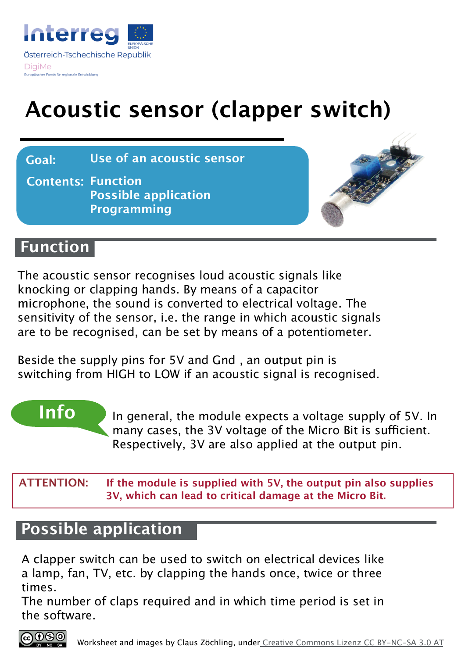

# **Acoustic sensor (clapper switch)**

**Goal: Use of an acoustic sensor**

**Contents: Function Possible application Programming**



#### **Function**

The acoustic sensor recognises loud acoustic signals like knocking or clapping hands. By means of a capacitor microphone, the sound is converted to electrical voltage. The sensitivity of the sensor, i.e. the range in which acoustic signals are to be recognised, can be set by means of a potentiometer.

Beside the supply pins for 5V and Gnd , an output pin is switching from HIGH to LOW if an acoustic signal is recognised.

**Info** In general, the module expects a voltage supply of 5V. In many cases, the 3V voltage of the Micro Bit is sufficient. Respectively, 3V are also applied at the output pin.

**ATTENTION: If the module is supplied with 5V, the output pin also supplies 3V, which can lead to critical damage at the Micro Bit.**

#### **Possible application**

A clapper switch can be used to switch on electrical devices like a lamp, fan, TV, etc. by clapping the hands once, twice or three times.

The number of claps required and in which time period is set in the software.

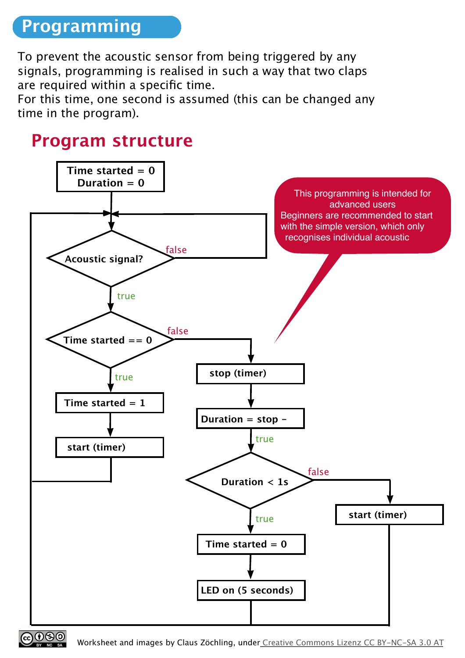## **Programming**

To prevent the acoustic sensor from being triggered by any signals, programming is realised in such a way that two claps are required within a specific time.

For this time, one second is assumed (this can be changed any time in the program).

## **Program structure**

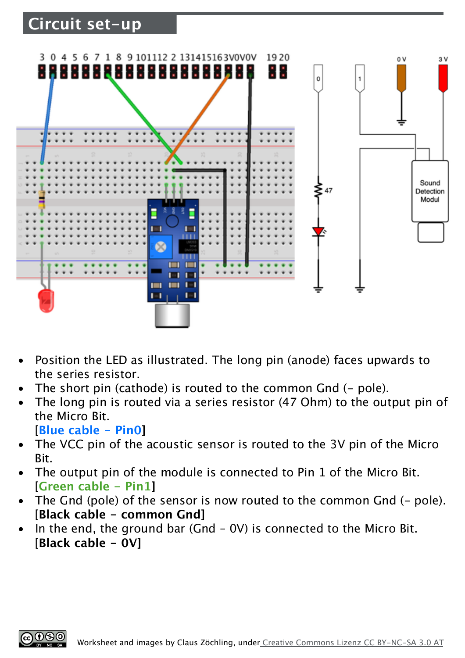#### **Circuit set-up**



- Position the LED as illustrated. The long pin (anode) faces upwards to the series resistor.
- The short pin (cathode) is routed to the common Gnd (- pole).
- The long pin is routed via a series resistor (47 Ohm) to the output pin of the Micro Bit.
	- [**Blue cable Pin0]**
- The VCC pin of the acoustic sensor is routed to the 3V pin of the Micro Bit.
- The output pin of the module is connected to Pin 1 of the Micro Bit. [**Green cable - Pin1]**
- The Gnd (pole) of the sensor is now routed to the common Gnd (- pole). [**Black cable - common Gnd]**
- In the end, the ground bar (Gnd  $-$  0V) is connected to the Micro Bit. [**Black cable - 0V]**

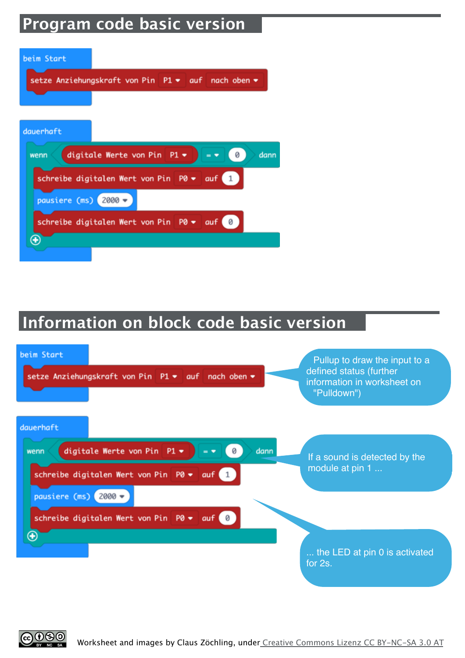## **Program code basic version**

| beim Start                                                                |
|---------------------------------------------------------------------------|
| setze Anziehungskraft von Pin P1 • auf nach oben •                        |
|                                                                           |
| dauerhaft                                                                 |
| digitale Werte von Pin P1 $\bullet$<br>dann<br>0<br>wenn<br>$=$ $\bullet$ |
| schreibe digitalen Wert von Pin P0 • auf 1                                |
| pausiere (ms) $2000 -$                                                    |
| schreibe digitalen Wert von Pin P0 • auf                                  |
|                                                                           |

### **Information on block code basic version**



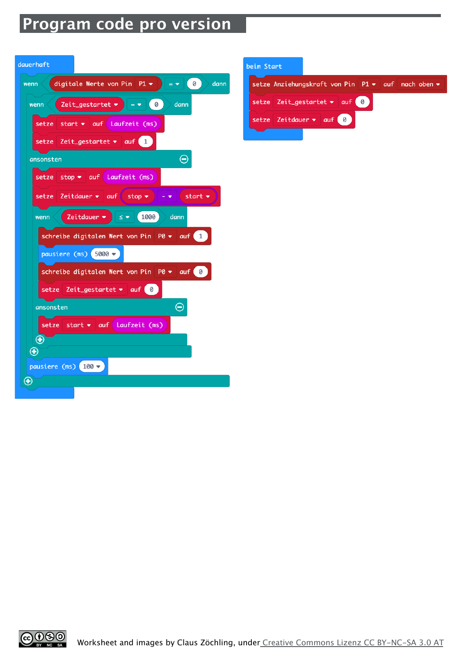## **Program code pro version**

| dauerhaft                                                                               |
|-----------------------------------------------------------------------------------------|
| wenn ( digitale Werte von Pin P1 $\bullet$ ) = $\bullet$ ( 0 )<br>dann                  |
| Zeit_gestartet $\bullet$ = $\bullet$ (0) dann<br>wenn                                   |
| $setze$ start $\bullet$ auf Laufzeit (ms)                                               |
| setze Zeit_gestartet • auf 1                                                            |
| ⊝<br>ansonsten                                                                          |
| setze stop v auf Laufzeit (ms)                                                          |
| setze Zeitdauer $\bullet$ auf stop $\bullet$<br>start $\bullet$<br>$\sim$ $\sim$ $\sim$ |
| wenn (Zeitdauer $\bullet$ $\bullet$ $\bullet$ 1000) dann                                |
| schreibe digitalen Wert von Pin PO v auf 1                                              |
| pausiere (ms) $5000 -$                                                                  |
| schreibe digitalen Wert von Pin $P0 \bullet \alpha$ auf $\alpha$                        |
| setze Zeit_gestartet $\bullet$ auf 0                                                    |
| $\ominus$<br>ansonsten                                                                  |
| setze start • auf Laufzeit (ms)                                                         |
| $\bm \oplus$                                                                            |
| $\bigoplus$                                                                             |
| pausiere (ms) $100 -$                                                                   |
| $\bigoplus$                                                                             |
|                                                                                         |